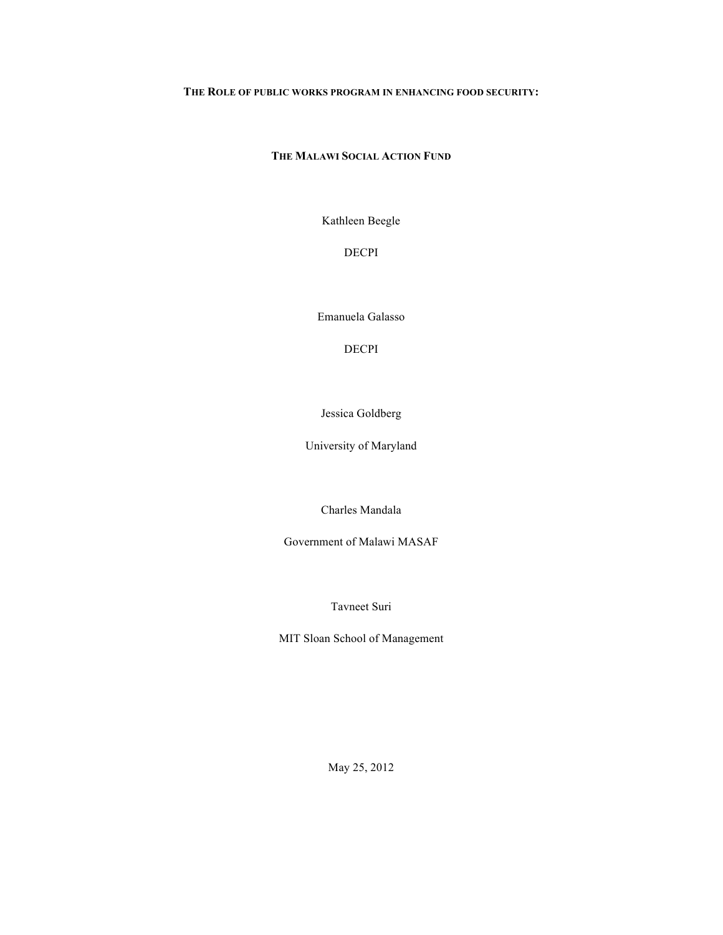# **THE ROLE OF PUBLIC WORKS PROGRAM IN ENHANCING FOOD SECURITY:**

# **THE MALAWI SOCIAL ACTION FUND**

Kathleen Beegle

DECPI

Emanuela Galasso

DECPI

Jessica Goldberg

University of Maryland

Charles Mandala

Government of Malawi MASAF

Tavneet Suri

MIT Sloan School of Management

May 25, 2012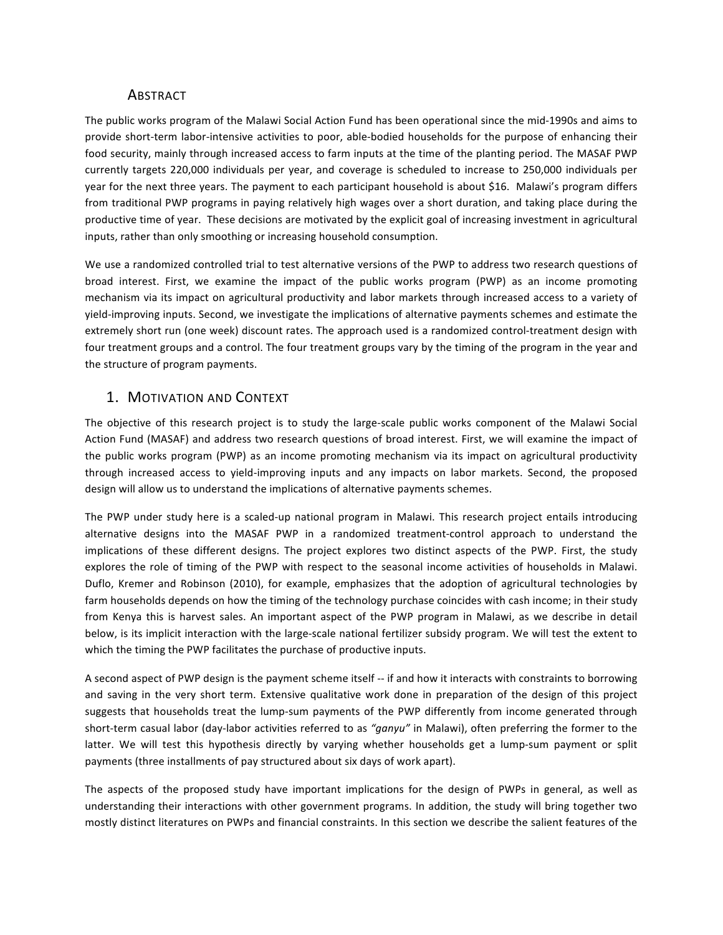# **ABSTRACT**

The public works program of the Malawi Social Action Fund has been operational since the mid-1990s and aims to provide short-term labor-intensive activities to poor, able-bodied households for the purpose of enhancing their food security, mainly through increased access to farm inputs at the time of the planting period. The MASAF PWP currently targets 220,000 individuals per year, and coverage is scheduled to increase to 250,000 individuals per year for the next three years. The payment to each participant household is about \$16. Malawi's program differs from traditional PWP programs in paying relatively high wages over a short duration, and taking place during the productive time of year. These decisions are motivated by the explicit goal of increasing investment in agricultural inputs, rather than only smoothing or increasing household consumption.

We use a randomized controlled trial to test alternative versions of the PWP to address two research questions of broad interest. First, we examine the impact of the public works program (PWP) as an income promoting mechanism via its impact on agricultural productivity and labor markets through increased access to a variety of yield-improving inputs. Second, we investigate the implications of alternative payments schemes and estimate the extremely short run (one week) discount rates. The approach used is a randomized control-treatment design with four treatment groups and a control. The four treatment groups vary by the timing of the program in the year and the structure of program payments.

# 1. MOTIVATION AND CONTEXT

The objective of this research project is to study the large-scale public works component of the Malawi Social Action Fund (MASAF) and address two research questions of broad interest. First, we will examine the impact of the public works program (PWP) as an income promoting mechanism via its impact on agricultural productivity through increased access to yield-improving inputs and any impacts on labor markets. Second, the proposed design will allow us to understand the implications of alternative payments schemes.

The PWP under study here is a scaled-up national program in Malawi. This research project entails introducing alternative designs into the MASAF PWP in a randomized treatment-control approach to understand the implications of these different designs. The project explores two distinct aspects of the PWP. First, the study explores the role of timing of the PWP with respect to the seasonal income activities of households in Malawi. Duflo, Kremer and Robinson (2010), for example, emphasizes that the adoption of agricultural technologies by farm households depends on how the timing of the technology purchase coincides with cash income; in their study from Kenya this is harvest sales. An important aspect of the PWP program in Malawi, as we describe in detail below, is its implicit interaction with the large-scale national fertilizer subsidy program. We will test the extent to which the timing the PWP facilitates the purchase of productive inputs.

A second aspect of PWP design is the payment scheme itself -- if and how it interacts with constraints to borrowing and saving in the very short term. Extensive qualitative work done in preparation of the design of this project suggests that households treat the lump-sum payments of the PWP differently from income generated through short-term casual labor (day-labor activities referred to as "ganyu" in Malawi), often preferring the former to the latter. We will test this hypothesis directly by varying whether households get a lump-sum payment or split payments (three installments of pay structured about six days of work apart).

The aspects of the proposed study have important implications for the design of PWPs in general, as well as understanding their interactions with other government programs. In addition, the study will bring together two mostly distinct literatures on PWPs and financial constraints. In this section we describe the salient features of the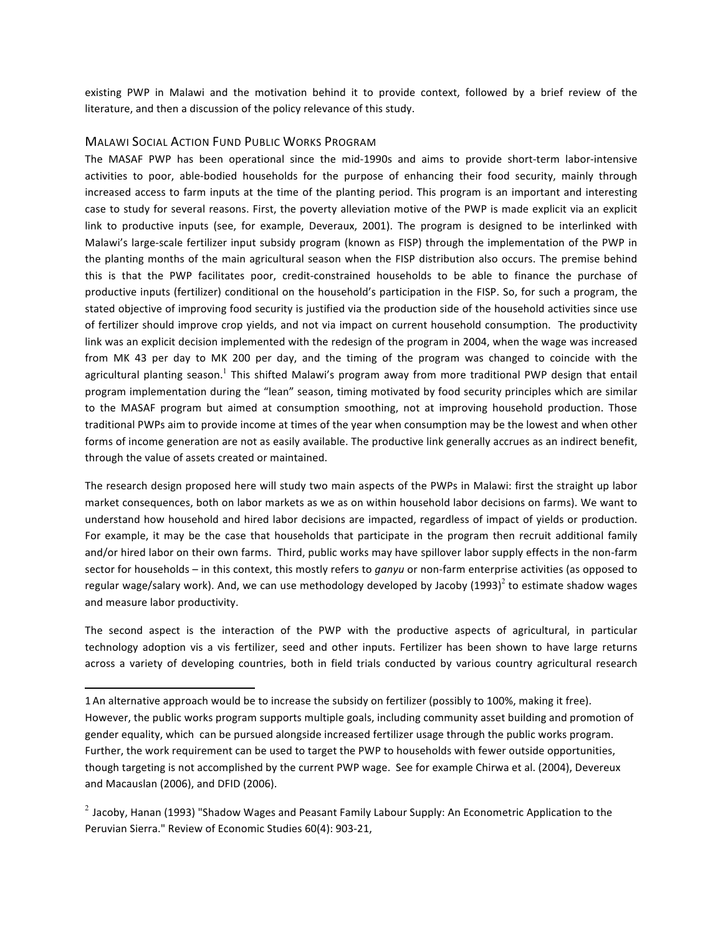existing PWP in Malawi and the motivation behind it to provide context, followed by a brief review of the literature, and then a discussion of the policy relevance of this study.

#### **MALAWI SOCIAL ACTION FUND PUBLIC WORKS PROGRAM**

 

The MASAF PWP has been operational since the mid-1990s and aims to provide short-term labor-intensive activities to poor, able-bodied households for the purpose of enhancing their food security, mainly through increased access to farm inputs at the time of the planting period. This program is an important and interesting case to study for several reasons. First, the poverty alleviation motive of the PWP is made explicit via an explicit link to productive inputs (see, for example, Deveraux, 2001). The program is designed to be interlinked with Malawi's large-scale fertilizer input subsidy program (known as FISP) through the implementation of the PWP in the planting months of the main agricultural season when the FISP distribution also occurs. The premise behind this is that the PWP facilitates poor, credit-constrained households to be able to finance the purchase of productive inputs (fertilizer) conditional on the household's participation in the FISP. So, for such a program, the stated objective of improving food security is justified via the production side of the household activities since use of fertilizer should improve crop yields, and not via impact on current household consumption. The productivity link was an explicit decision implemented with the redesign of the program in 2004, when the wage was increased from MK 43 per day to MK 200 per day, and the timing of the program was changed to coincide with the agricultural planting season.<sup>1</sup> This shifted Malawi's program away from more traditional PWP design that entail program implementation during the "lean" season, timing motivated by food security principles which are similar to the MASAF program but aimed at consumption smoothing, not at improving household production. Those traditional PWPs aim to provide income at times of the year when consumption may be the lowest and when other forms of income generation are not as easily available. The productive link generally accrues as an indirect benefit, through the value of assets created or maintained.

The research design proposed here will study two main aspects of the PWPs in Malawi: first the straight up labor market consequences, both on labor markets as we as on within household labor decisions on farms). We want to understand how household and hired labor decisions are impacted, regardless of impact of yields or production. For example, it may be the case that households that participate in the program then recruit additional family and/or hired labor on their own farms. Third, public works may have spillover labor supply effects in the non-farm sector for households – in this context, this mostly refers to *ganyu* or non-farm enterprise activities (as opposed to regular wage/salary work). And, we can use methodology developed by Jacoby (1993)<sup>2</sup> to estimate shadow wages and measure labor productivity.

The second aspect is the interaction of the PWP with the productive aspects of agricultural, in particular technology adoption vis a vis fertilizer, seed and other inputs. Fertilizer has been shown to have large returns across a variety of developing countries, both in field trials conducted by various country agricultural research

<sup>1</sup> An alternative approach would be to increase the subsidy on fertilizer (possibly to 100%, making it free). However, the public works program supports multiple goals, including community asset building and promotion of gender equality, which can be pursued alongside increased fertilizer usage through the public works program. Further, the work requirement can be used to target the PWP to households with fewer outside opportunities, though targeting is not accomplished by the current PWP wage. See for example Chirwa et al. (2004), Devereux and Macauslan (2006), and DFID (2006).

 $2$  Jacoby, Hanan (1993) "Shadow Wages and Peasant Family Labour Supply: An Econometric Application to the Peruvian Sierra." Review of Economic Studies 60(4): 903-21,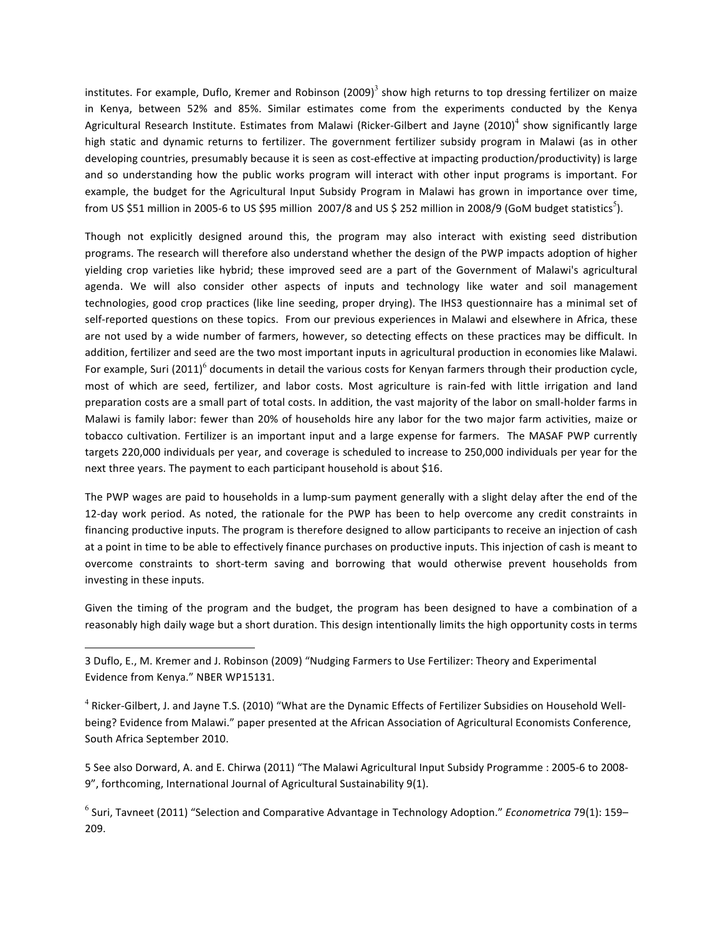institutes. For example, Duflo, Kremer and Robinson  $(2009)^3$  show high returns to top dressing fertilizer on maize in Kenya, between 52% and 85%. Similar estimates come from the experiments conducted by the Kenya Agricultural Research Institute. Estimates from Malawi (Ricker-Gilbert and Jayne (2010)<sup>4</sup> show significantly large high static and dynamic returns to fertilizer. The government fertilizer subsidy program in Malawi (as in other developing countries, presumably because it is seen as cost-effective at impacting production/productivity) is large and so understanding how the public works program will interact with other input programs is important. For example, the budget for the Agricultural Input Subsidy Program in Malawi has grown in importance over time, from US \$51 million in 2005-6 to US \$95 million  $\,$ 2007/8 and US \$ 252 million in 2008/9 (GoM budget statistics<sup>5</sup>).

Though not explicitly designed around this, the program may also interact with existing seed distribution programs. The research will therefore also understand whether the design of the PWP impacts adoption of higher yielding crop varieties like hybrid; these improved seed are a part of the Government of Malawi's agricultural agenda. We will also consider other aspects of inputs and technology like water and soil management technologies, good crop practices (like line seeding, proper drying). The IHS3 questionnaire has a minimal set of self-reported questions on these topics. From our previous experiences in Malawi and elsewhere in Africa, these are not used by a wide number of farmers, however, so detecting effects on these practices may be difficult. In addition, fertilizer and seed are the two most important inputs in agricultural production in economies like Malawi. For example, Suri (2011)<sup>6</sup> documents in detail the various costs for Kenyan farmers through their production cycle, most of which are seed, fertilizer, and labor costs. Most agriculture is rain-fed with little irrigation and land preparation costs are a small part of total costs. In addition, the vast majority of the labor on small-holder farms in Malawi is family labor: fewer than 20% of households hire any labor for the two major farm activities, maize or tobacco cultivation. Fertilizer is an important input and a large expense for farmers. The MASAF PWP currently targets 220,000 individuals per year, and coverage is scheduled to increase to 250,000 individuals per year for the next three years. The payment to each participant household is about \$16.

The PWP wages are paid to households in a lump-sum payment generally with a slight delay after the end of the 12-day work period. As noted, the rationale for the PWP has been to help overcome any credit constraints in financing productive inputs. The program is therefore designed to allow participants to receive an injection of cash at a point in time to be able to effectively finance purchases on productive inputs. This injection of cash is meant to overcome constraints to short-term saving and borrowing that would otherwise prevent households from investing in these inputs.

Given the timing of the program and the budget, the program has been designed to have a combination of a reasonably high daily wage but a short duration. This design intentionally limits the high opportunity costs in terms

 

5 See also Dorward, A. and E. Chirwa (2011) "The Malawi Agricultural Input Subsidy Programme : 2005-6 to 2008-9", forthcoming, International Journal of Agricultural Sustainability 9(1).

<sup>3</sup> Duflo, E., M. Kremer and J. Robinson (2009) "Nudging Farmers to Use Fertilizer: Theory and Experimental Evidence from Kenya." NBER WP15131.

 $4$  Ricker-Gilbert, J. and Jayne T.S. (2010) "What are the Dynamic Effects of Fertilizer Subsidies on Household Wellbeing? Evidence from Malawi." paper presented at the African Association of Agricultural Economists Conference, South Africa September 2010.

<sup>&</sup>lt;sup>6</sup> Suri, Tavneet (2011) "Selection and Comparative Advantage in Technology Adoption." *Econometrica* 79(1): 159– 209.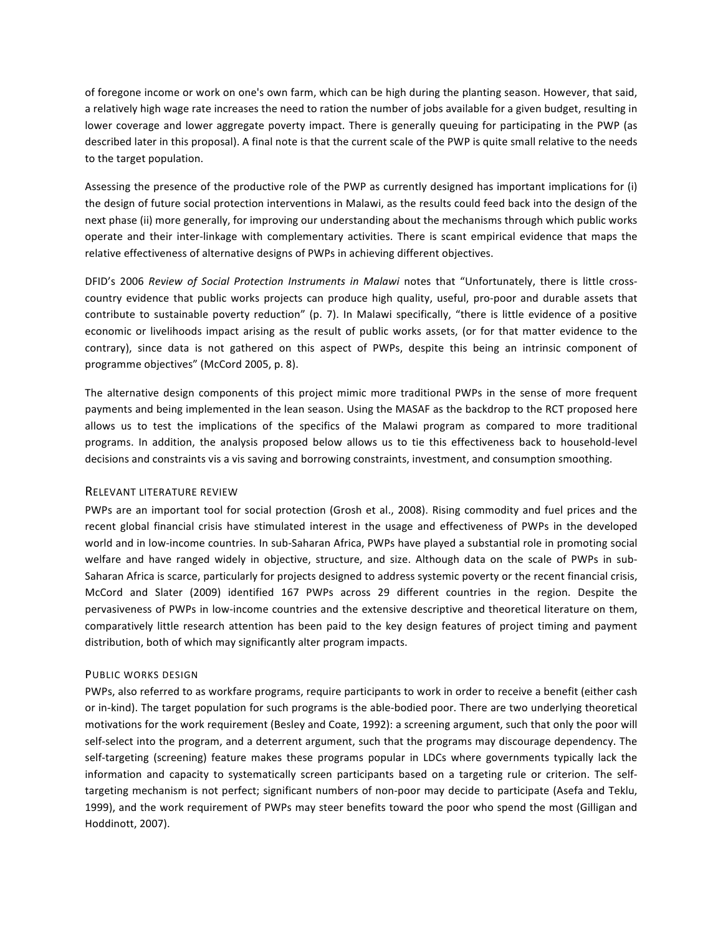of foregone income or work on one's own farm, which can be high during the planting season. However, that said, a relatively high wage rate increases the need to ration the number of jobs available for a given budget, resulting in lower coverage and lower aggregate poverty impact. There is generally queuing for participating in the PWP (as described later in this proposal). A final note is that the current scale of the PWP is quite small relative to the needs to the target population.

Assessing the presence of the productive role of the PWP as currently designed has important implications for (i) the design of future social protection interventions in Malawi, as the results could feed back into the design of the next phase (ii) more generally, for improving our understanding about the mechanisms through which public works operate and their inter-linkage with complementary activities. There is scant empirical evidence that maps the relative effectiveness of alternative designs of PWPs in achieving different objectives.

DFID's 2006 Review of Social Protection Instruments in Malawi notes that "Unfortunately, there is little crosscountry evidence that public works projects can produce high quality, useful, pro-poor and durable assets that contribute to sustainable poverty reduction" (p. 7). In Malawi specifically, "there is little evidence of a positive economic or livelihoods impact arising as the result of public works assets, (or for that matter evidence to the contrary), since data is not gathered on this aspect of PWPs, despite this being an intrinsic component of programme objectives" (McCord 2005, p. 8).

The alternative design components of this project mimic more traditional PWPs in the sense of more frequent payments and being implemented in the lean season. Using the MASAF as the backdrop to the RCT proposed here allows us to test the implications of the specifics of the Malawi program as compared to more traditional programs. In addition, the analysis proposed below allows us to tie this effectiveness back to household-level decisions and constraints vis a vis saving and borrowing constraints, investment, and consumption smoothing.

#### RELEVANT LITERATURE REVIEW

PWPs are an important tool for social protection (Grosh et al., 2008). Rising commodity and fuel prices and the recent global financial crisis have stimulated interest in the usage and effectiveness of PWPs in the developed world and in low-income countries. In sub-Saharan Africa, PWPs have played a substantial role in promoting social welfare and have ranged widely in objective, structure, and size. Although data on the scale of PWPs in sub-Saharan Africa is scarce, particularly for projects designed to address systemic poverty or the recent financial crisis, McCord and Slater (2009) identified 167 PWPs across 29 different countries in the region. Despite the pervasiveness of PWPs in low-income countries and the extensive descriptive and theoretical literature on them, comparatively little research attention has been paid to the key design features of project timing and payment distribution, both of which may significantly alter program impacts.

#### PUBLIC WORKS DESIGN

PWPs, also referred to as workfare programs, require participants to work in order to receive a benefit (either cash or in-kind). The target population for such programs is the able-bodied poor. There are two underlying theoretical motivations for the work requirement (Besley and Coate, 1992): a screening argument, such that only the poor will self-select into the program, and a deterrent argument, such that the programs may discourage dependency. The self-targeting (screening) feature makes these programs popular in LDCs where governments typically lack the information and capacity to systematically screen participants based on a targeting rule or criterion. The selftargeting mechanism is not perfect; significant numbers of non-poor may decide to participate (Asefa and Teklu, 1999), and the work requirement of PWPs may steer benefits toward the poor who spend the most (Gilligan and Hoddinott, 2007).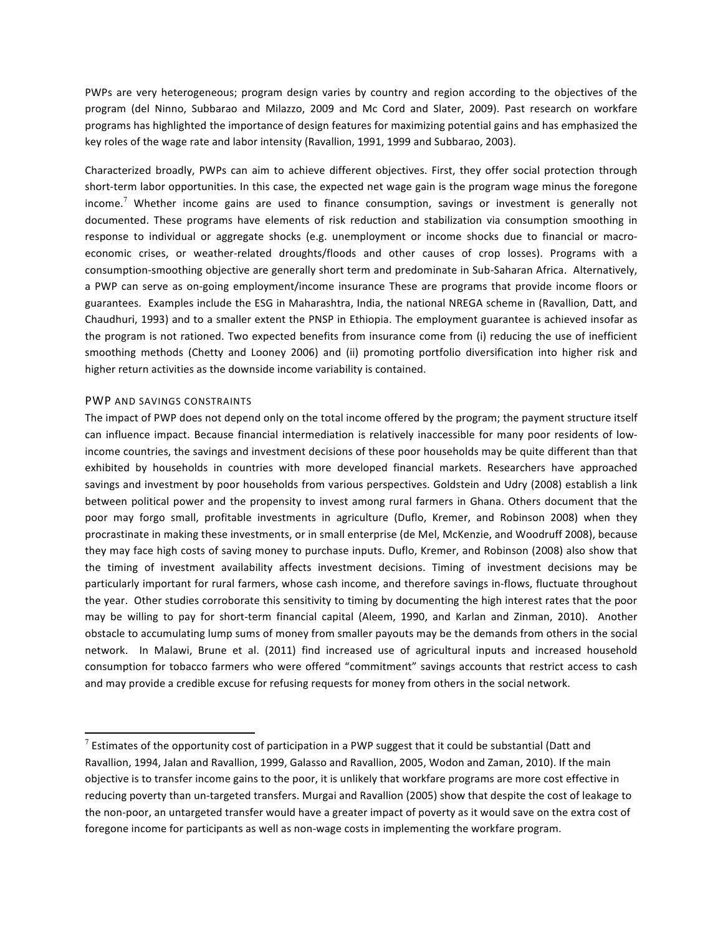PWPs are very heterogeneous; program design varies by country and region according to the objectives of the program (del Ninno, Subbarao and Milazzo, 2009 and Mc Cord and Slater, 2009). Past research on workfare programs has highlighted the importance of design features for maximizing potential gains and has emphasized the key roles of the wage rate and labor intensity (Ravallion, 1991, 1999 and Subbarao, 2003).

Characterized broadly, PWPs can aim to achieve different objectives. First, they offer social protection through short-term labor opportunities. In this case, the expected net wage gain is the program wage minus the foregone income.<sup>7</sup> Whether income gains are used to finance consumption, savings or investment is generally not documented. These programs have elements of risk reduction and stabilization via consumption smoothing in response to individual or aggregate shocks (e.g. unemployment or income shocks due to financial or macroeconomic crises, or weather-related droughts/floods and other causes of crop losses). Programs with a consumption-smoothing objective are generally short term and predominate in Sub-Saharan Africa. Alternatively, a PWP can serve as on-going employment/income insurance These are programs that provide income floors or guarantees. Examples include the ESG in Maharashtra, India, the national NREGA scheme in (Ravallion, Datt, and Chaudhuri, 1993) and to a smaller extent the PNSP in Ethiopia. The employment guarantee is achieved insofar as the program is not rationed. Two expected benefits from insurance come from (i) reducing the use of inefficient smoothing methods (Chetty and Looney 2006) and (ii) promoting portfolio diversification into higher risk and higher return activities as the downside income variability is contained.

#### PWP AND SAVINGS CONSTRAINTS

 

The impact of PWP does not depend only on the total income offered by the program; the payment structure itself can influence impact. Because financial intermediation is relatively inaccessible for many poor residents of lowincome countries, the savings and investment decisions of these poor households may be quite different than that exhibited by households in countries with more developed financial markets. Researchers have approached savings and investment by poor households from various perspectives. Goldstein and Udry (2008) establish a link between political power and the propensity to invest among rural farmers in Ghana. Others document that the poor may forgo small, profitable investments in agriculture (Duflo, Kremer, and Robinson 2008) when they procrastinate in making these investments, or in small enterprise (de Mel, McKenzie, and Woodruff 2008), because they may face high costs of saving money to purchase inputs. Duflo, Kremer, and Robinson (2008) also show that the timing of investment availability affects investment decisions. Timing of investment decisions may be particularly important for rural farmers, whose cash income, and therefore savings in-flows, fluctuate throughout the year. Other studies corroborate this sensitivity to timing by documenting the high interest rates that the poor may be willing to pay for short-term financial capital (Aleem, 1990, and Karlan and Zinman, 2010). Another obstacle to accumulating lump sums of money from smaller payouts may be the demands from others in the social network. In Malawi, Brune et al. (2011) find increased use of agricultural inputs and increased household consumption for tobacco farmers who were offered "commitment" savings accounts that restrict access to cash and may provide a credible excuse for refusing requests for money from others in the social network.

 $^7$  Estimates of the opportunity cost of participation in a PWP suggest that it could be substantial (Datt and Ravallion, 1994, Jalan and Ravallion, 1999, Galasso and Ravallion, 2005, Wodon and Zaman, 2010). If the main objective is to transfer income gains to the poor, it is unlikely that workfare programs are more cost effective in reducing poverty than un-targeted transfers. Murgai and Ravallion (2005) show that despite the cost of leakage to the non-poor, an untargeted transfer would have a greater impact of poverty as it would save on the extra cost of foregone income for participants as well as non-wage costs in implementing the workfare program.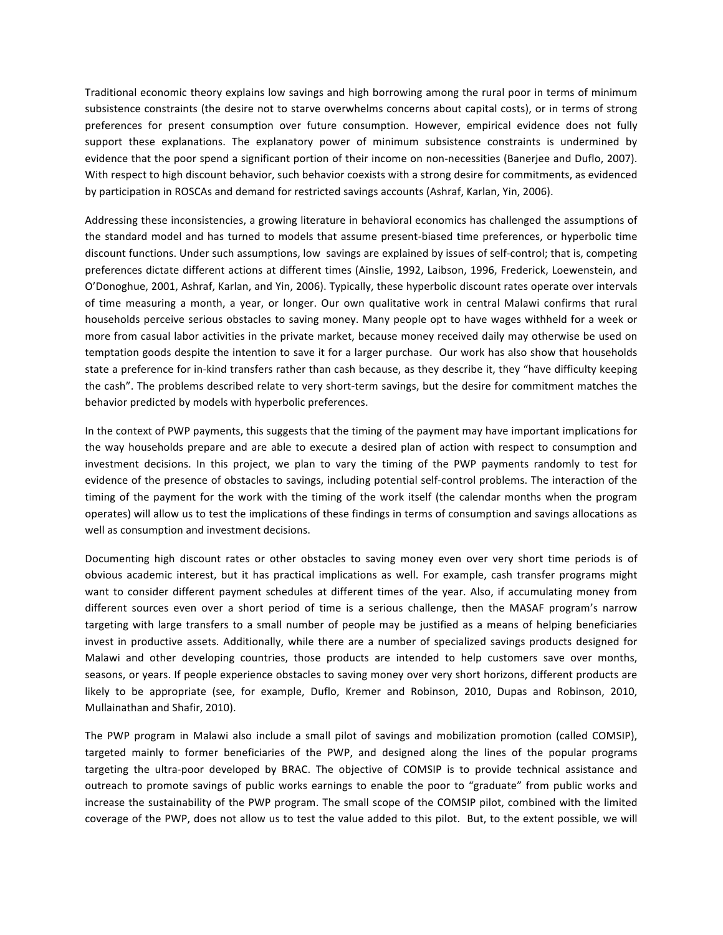Traditional economic theory explains low savings and high borrowing among the rural poor in terms of minimum subsistence constraints (the desire not to starve overwhelms concerns about capital costs), or in terms of strong preferences for present consumption over future consumption. However, empirical evidence does not fully support these explanations. The explanatory power of minimum subsistence constraints is undermined by evidence that the poor spend a significant portion of their income on non-necessities (Banerjee and Duflo, 2007). With respect to high discount behavior, such behavior coexists with a strong desire for commitments, as evidenced by participation in ROSCAs and demand for restricted savings accounts (Ashraf, Karlan, Yin, 2006).

Addressing these inconsistencies, a growing literature in behavioral economics has challenged the assumptions of the standard model and has turned to models that assume present-biased time preferences, or hyperbolic time discount functions. Under such assumptions, low savings are explained by issues of self-control; that is, competing preferences dictate different actions at different times (Ainslie, 1992, Laibson, 1996, Frederick, Loewenstein, and O'Donoghue, 2001, Ashraf, Karlan, and Yin, 2006). Typically, these hyperbolic discount rates operate over intervals of time measuring a month, a year, or longer. Our own qualitative work in central Malawi confirms that rural households perceive serious obstacles to saving money. Many people opt to have wages withheld for a week or more from casual labor activities in the private market, because money received daily may otherwise be used on temptation goods despite the intention to save it for a larger purchase. Our work has also show that households state a preference for in-kind transfers rather than cash because, as they describe it, they "have difficulty keeping the cash". The problems described relate to very short-term savings, but the desire for commitment matches the behavior predicted by models with hyperbolic preferences.

In the context of PWP payments, this suggests that the timing of the payment may have important implications for the way households prepare and are able to execute a desired plan of action with respect to consumption and investment decisions. In this project, we plan to vary the timing of the PWP payments randomly to test for evidence of the presence of obstacles to savings, including potential self-control problems. The interaction of the timing of the payment for the work with the timing of the work itself (the calendar months when the program operates) will allow us to test the implications of these findings in terms of consumption and savings allocations as well as consumption and investment decisions.

Documenting high discount rates or other obstacles to saving money even over very short time periods is of obvious academic interest, but it has practical implications as well. For example, cash transfer programs might want to consider different payment schedules at different times of the year. Also, if accumulating money from different sources even over a short period of time is a serious challenge, then the MASAF program's narrow targeting with large transfers to a small number of people may be justified as a means of helping beneficiaries invest in productive assets. Additionally, while there are a number of specialized savings products designed for Malawi and other developing countries, those products are intended to help customers save over months, seasons, or years. If people experience obstacles to saving money over very short horizons, different products are likely to be appropriate (see, for example, Duflo, Kremer and Robinson, 2010, Dupas and Robinson, 2010, Mullainathan and Shafir, 2010).

The PWP program in Malawi also include a small pilot of savings and mobilization promotion (called COMSIP), targeted mainly to former beneficiaries of the PWP, and designed along the lines of the popular programs targeting the ultra-poor developed by BRAC. The objective of COMSIP is to provide technical assistance and outreach to promote savings of public works earnings to enable the poor to "graduate" from public works and increase the sustainability of the PWP program. The small scope of the COMSIP pilot, combined with the limited coverage of the PWP, does not allow us to test the value added to this pilot. But, to the extent possible, we will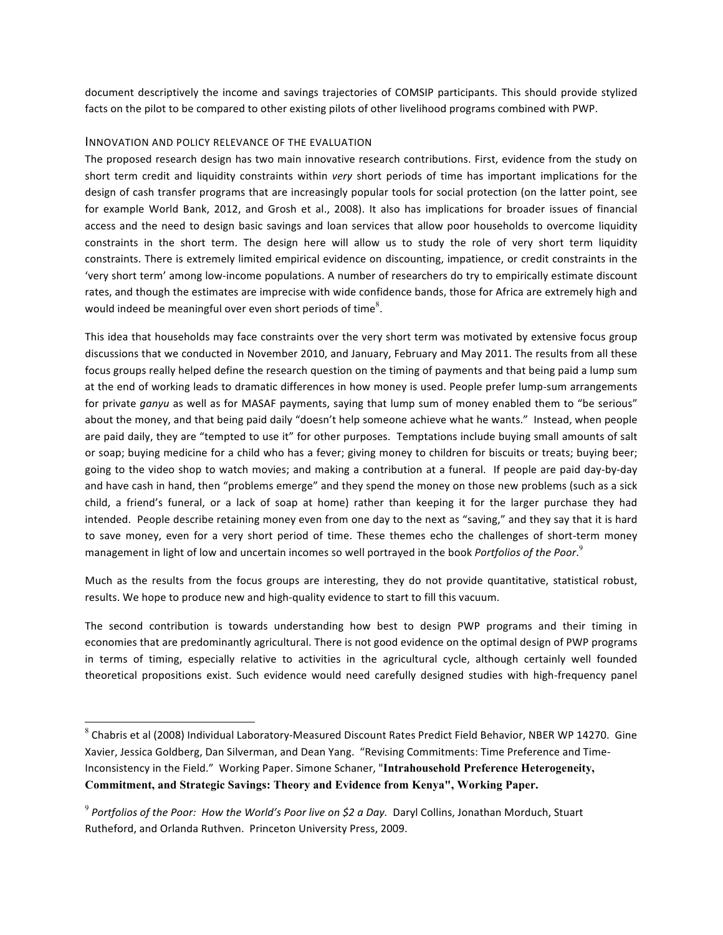document descriptively the income and savings trajectories of COMSIP participants. This should provide stylized facts on the pilot to be compared to other existing pilots of other livelihood programs combined with PWP.

#### INNOVATION AND POLICY RELEVANCE OF THE EVALUATION

 

The proposed research design has two main innovative research contributions. First, evidence from the study on short term credit and liquidity constraints within *very* short periods of time has important implications for the design of cash transfer programs that are increasingly popular tools for social protection (on the latter point, see for example World Bank, 2012, and Grosh et al., 2008). It also has implications for broader issues of financial access and the need to design basic savings and loan services that allow poor households to overcome liquidity constraints in the short term. The design here will allow us to study the role of very short term liquidity constraints. There is extremely limited empirical evidence on discounting, impatience, or credit constraints in the 'very short term' among low-income populations. A number of researchers do try to empirically estimate discount rates, and though the estimates are imprecise with wide confidence bands, those for Africa are extremely high and would indeed be meaningful over even short periods of time<sup>8</sup>.

This idea that households may face constraints over the very short term was motivated by extensive focus group discussions that we conducted in November 2010, and January, February and May 2011. The results from all these focus groups really helped define the research question on the timing of payments and that being paid a lump sum at the end of working leads to dramatic differences in how money is used. People prefer lump-sum arrangements for private ganyu as well as for MASAF payments, saying that lump sum of money enabled them to "be serious" about the money, and that being paid daily "doesn't help someone achieve what he wants." Instead, when people are paid daily, they are "tempted to use it" for other purposes. Temptations include buying small amounts of salt or soap; buying medicine for a child who has a fever; giving money to children for biscuits or treats; buying beer; going to the video shop to watch movies; and making a contribution at a funeral. If people are paid day-by-day and have cash in hand, then "problems emerge" and they spend the money on those new problems (such as a sick child, a friend's funeral, or a lack of soap at home) rather than keeping it for the larger purchase they had intended. People describe retaining money even from one day to the next as "saving," and they say that it is hard to save money, even for a very short period of time. These themes echo the challenges of short-term money management in light of low and uncertain incomes so well portrayed in the book Portfolios of the Poor.<sup>9</sup>

Much as the results from the focus groups are interesting, they do not provide quantitative, statistical robust, results. We hope to produce new and high-quality evidence to start to fill this vacuum.

The second contribution is towards understanding how best to design PWP programs and their timing in economies that are predominantly agricultural. There is not good evidence on the optimal design of PWP programs in terms of timing, especially relative to activities in the agricultural cycle, although certainly well founded theoretical propositions exist. Such evidence would need carefully designed studies with high-frequency panel

 $^8$  Chabris et al (2008) Individual Laboratory-Measured Discount Rates Predict Field Behavior, NBER WP 14270. Gine Xavier, Jessica Goldberg, Dan Silverman, and Dean Yang. "Revising Commitments: Time Preference and Time-Inconsistency in the Field." Working Paper. Simone Schaner, "Intrahousehold Preference Heterogeneity, **Commitment, and Strategic Savings: Theory and Evidence from Kenya", Working Paper.**

<sup>&</sup>lt;sup>9</sup> Portfolios of the Poor: How the World's Poor live on \$2 a Day. Daryl Collins, Jonathan Morduch, Stuart Rutheford, and Orlanda Ruthven. Princeton University Press, 2009.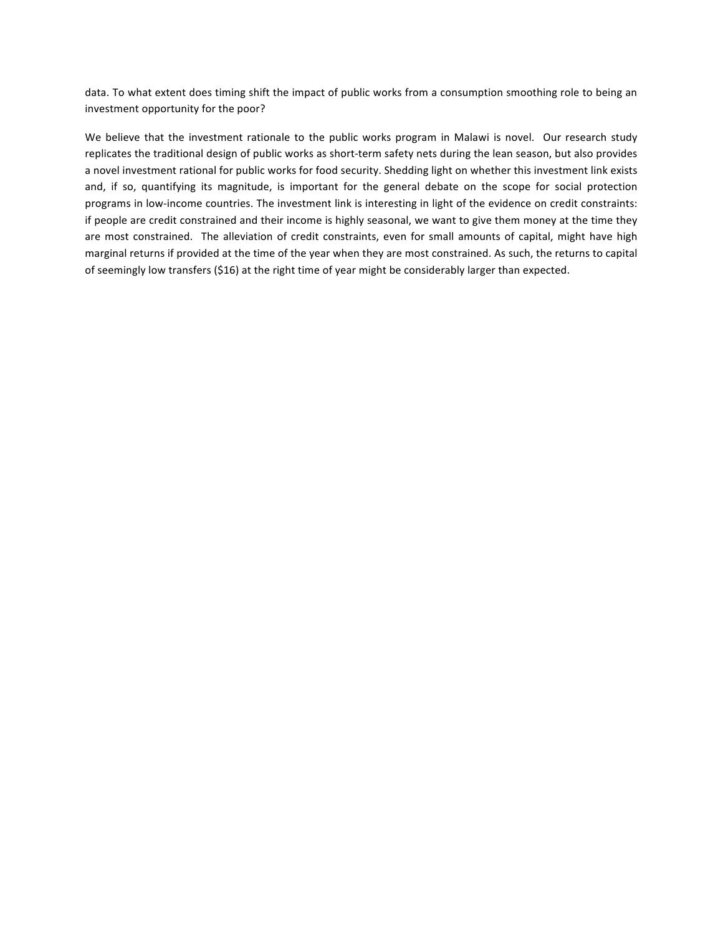data. To what extent does timing shift the impact of public works from a consumption smoothing role to being an investment opportunity for the poor?

We believe that the investment rationale to the public works program in Malawi is novel. Our research study replicates the traditional design of public works as short-term safety nets during the lean season, but also provides a novel investment rational for public works for food security. Shedding light on whether this investment link exists and, if so, quantifying its magnitude, is important for the general debate on the scope for social protection programs in low-income countries. The investment link is interesting in light of the evidence on credit constraints: if people are credit constrained and their income is highly seasonal, we want to give them money at the time they are most constrained. The alleviation of credit constraints, even for small amounts of capital, might have high marginal returns if provided at the time of the year when they are most constrained. As such, the returns to capital of seemingly low transfers (\$16) at the right time of year might be considerably larger than expected.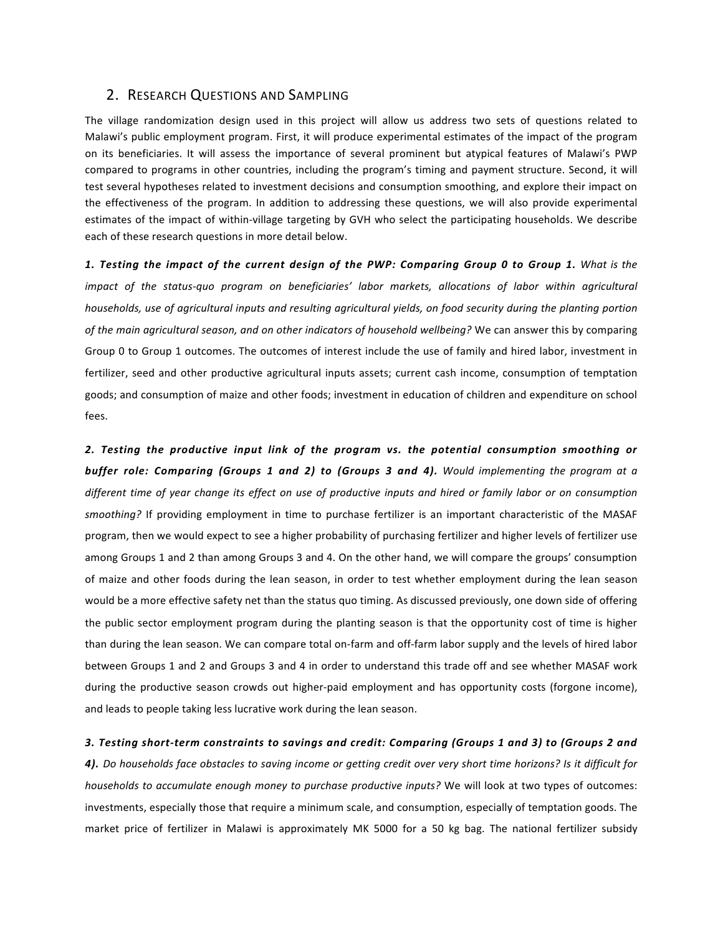## 2. RESEARCH QUESTIONS AND SAMPLING

The village randomization design used in this project will allow us address two sets of questions related to Malawi's public employment program. First, it will produce experimental estimates of the impact of the program on its beneficiaries. It will assess the importance of several prominent but atypical features of Malawi's PWP compared to programs in other countries, including the program's timing and payment structure. Second, it will test several hypotheses related to investment decisions and consumption smoothing, and explore their impact on the effectiveness of the program. In addition to addressing these questions, we will also provide experimental estimates of the impact of within-village targeting by GVH who select the participating households. We describe each of these research questions in more detail below.

1. Testing the impact of the current design of the PWP: Comparing Group 0 to Group 1. What is the *impact* of the status-quo program on beneficiaries' labor markets, allocations of labor within agricultural *households, use of agricultural inputs and resulting agricultural yields, on food security during the planting portion* of the main agricultural season, and on other indicators of household wellbeing? We can answer this by comparing Group 0 to Group 1 outcomes. The outcomes of interest include the use of family and hired labor, investment in fertilizer, seed and other productive agricultural inputs assets; current cash income, consumption of temptation goods; and consumption of maize and other foods; investment in education of children and expenditure on school fees. 

*2. Testing the productive input link of the program vs. the potential consumption smoothing or*  **buffer role: Comparing (Groups 1 and 2) to (Groups 3 and 4).** Would implementing the program at a different time of year change its effect on use of productive inputs and hired or family labor or on consumption smoothing? If providing employment in time to purchase fertilizer is an important characteristic of the MASAF program, then we would expect to see a higher probability of purchasing fertilizer and higher levels of fertilizer use among Groups 1 and 2 than among Groups 3 and 4. On the other hand, we will compare the groups' consumption of maize and other foods during the lean season, in order to test whether employment during the lean season would be a more effective safety net than the status quo timing. As discussed previously, one down side of offering the public sector employment program during the planting season is that the opportunity cost of time is higher than during the lean season. We can compare total on-farm and off-farm labor supply and the levels of hired labor between Groups 1 and 2 and Groups 3 and 4 in order to understand this trade off and see whether MASAF work during the productive season crowds out higher-paid employment and has opportunity costs (forgone income), and leads to people taking less lucrative work during the lean season.

#### 3. Testing short-term constraints to savings and credit: Comparing (Groups 1 and 3) to (Groups 2 and

4). Do households face obstacles to saving income or getting credit over very short time horizons? Is it difficult for *households to accumulate enough money to purchase productive inputs?* We will look at two types of outcomes: investments, especially those that require a minimum scale, and consumption, especially of temptation goods. The market price of fertilizer in Malawi is approximately MK 5000 for a 50 kg bag. The national fertilizer subsidy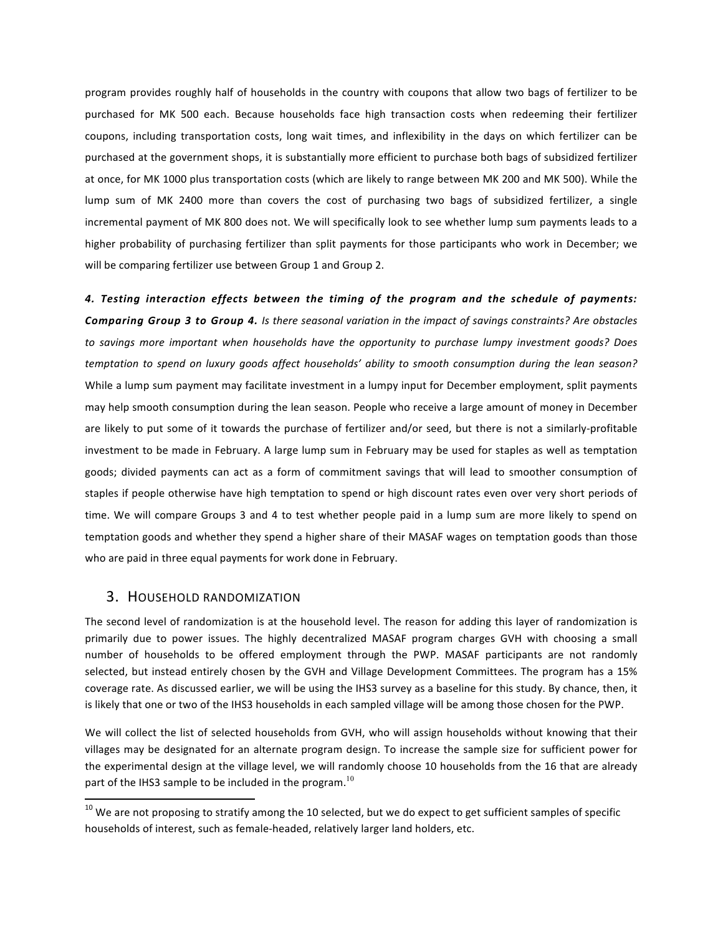program provides roughly half of households in the country with coupons that allow two bags of fertilizer to be purchased for MK 500 each. Because households face high transaction costs when redeeming their fertilizer coupons, including transportation costs, long wait times, and inflexibility in the days on which fertilizer can be purchased at the government shops, it is substantially more efficient to purchase both bags of subsidized fertilizer at once, for MK 1000 plus transportation costs (which are likely to range between MK 200 and MK 500). While the lump sum of MK 2400 more than covers the cost of purchasing two bags of subsidized fertilizer, a single incremental payment of MK 800 does not. We will specifically look to see whether lump sum payments leads to a higher probability of purchasing fertilizer than split payments for those participants who work in December; we will be comparing fertilizer use between Group 1 and Group 2.

*4. Testing interaction effects between the timing of the program and the schedule of payments:*  **Comparing Group 3 to Group 4.** Is there seasonal variation in the impact of savings constraints? Are obstacles to savings more important when households have the opportunity to purchase lumpy investment goods? Does *temptation to spend on luxury goods affect households' ability to smooth consumption during the lean season?* While a lump sum payment may facilitate investment in a lumpy input for December employment, split payments may help smooth consumption during the lean season. People who receive a large amount of money in December are likely to put some of it towards the purchase of fertilizer and/or seed, but there is not a similarly-profitable investment to be made in February. A large lump sum in February may be used for staples as well as temptation goods; divided payments can act as a form of commitment savings that will lead to smoother consumption of staples if people otherwise have high temptation to spend or high discount rates even over very short periods of time. We will compare Groups 3 and 4 to test whether people paid in a lump sum are more likely to spend on temptation goods and whether they spend a higher share of their MASAF wages on temptation goods than those who are paid in three equal payments for work done in February.

### 3. HOUSEHOLD RANDOMIZATION

The second level of randomization is at the household level. The reason for adding this layer of randomization is primarily due to power issues. The highly decentralized MASAF program charges GVH with choosing a small number of households to be offered employment through the PWP. MASAF participants are not randomly selected, but instead entirely chosen by the GVH and Village Development Committees. The program has a 15% coverage rate. As discussed earlier, we will be using the IHS3 survey as a baseline for this study. By chance, then, it is likely that one or two of the IHS3 households in each sampled village will be among those chosen for the PWP.

We will collect the list of selected households from GVH, who will assign households without knowing that their villages may be designated for an alternate program design. To increase the sample size for sufficient power for the experimental design at the village level, we will randomly choose 10 households from the 16 that are already part of the IHS3 sample to be included in the program.<sup>10</sup>

 $10$  We are not proposing to stratify among the 10 selected, but we do expect to get sufficient samples of specific households of interest, such as female-headed, relatively larger land holders, etc.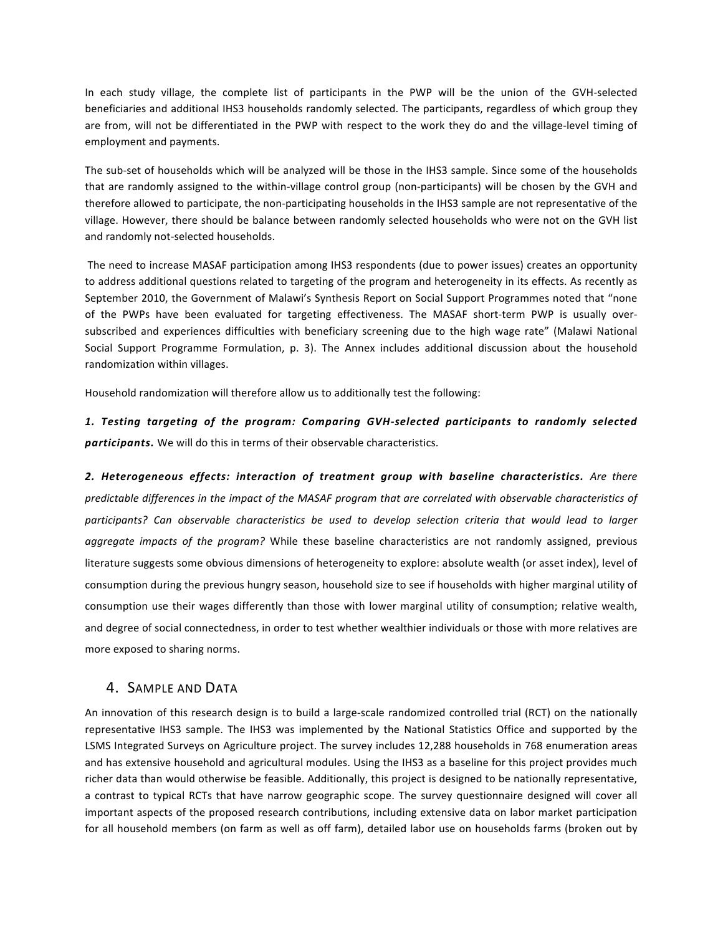In each study village, the complete list of participants in the PWP will be the union of the GVH-selected beneficiaries and additional IHS3 households randomly selected. The participants, regardless of which group they are from, will not be differentiated in the PWP with respect to the work they do and the village-level timing of employment and payments.

The sub-set of households which will be analyzed will be those in the IHS3 sample. Since some of the households that are randomly assigned to the within-village control group (non-participants) will be chosen by the GVH and therefore allowed to participate, the non-participating households in the IHS3 sample are not representative of the village. However, there should be balance between randomly selected households who were not on the GVH list and randomly not-selected households.

The need to increase MASAF participation among IHS3 respondents (due to power issues) creates an opportunity to address additional questions related to targeting of the program and heterogeneity in its effects. As recently as September 2010, the Government of Malawi's Synthesis Report on Social Support Programmes noted that "none of the PWPs have been evaluated for targeting effectiveness. The MASAF short-term PWP is usually oversubscribed and experiences difficulties with beneficiary screening due to the high wage rate" (Malawi National Social Support Programme Formulation, p. 3). The Annex includes additional discussion about the household randomization within villages.

Household randomization will therefore allow us to additionally test the following:

1. Testing targeting of the program: Comparing GVH-selected participants to randomly selected **participants.** We will do this in terms of their observable characteristics.

2. Heterogeneous effects: interaction of treatment group with baseline characteristics. Are there predictable differences in the impact of the MASAF program that are correlated with observable characteristics of participants? Can observable characteristics be used to develop selection criteria that would lead to larger *aggregate impacts of the program?* While these baseline characteristics are not randomly assigned, previous literature suggests some obvious dimensions of heterogeneity to explore: absolute wealth (or asset index), level of consumption during the previous hungry season, household size to see if households with higher marginal utility of consumption use their wages differently than those with lower marginal utility of consumption; relative wealth, and degree of social connectedness, in order to test whether wealthier individuals or those with more relatives are more exposed to sharing norms.

# 4. SAMPLE AND DATA

An innovation of this research design is to build a large-scale randomized controlled trial (RCT) on the nationally representative IHS3 sample. The IHS3 was implemented by the National Statistics Office and supported by the LSMS Integrated Surveys on Agriculture project. The survey includes 12,288 households in 768 enumeration areas and has extensive household and agricultural modules. Using the IHS3 as a baseline for this project provides much richer data than would otherwise be feasible. Additionally, this project is designed to be nationally representative, a contrast to typical RCTs that have narrow geographic scope. The survey questionnaire designed will cover all important aspects of the proposed research contributions, including extensive data on labor market participation for all household members (on farm as well as off farm), detailed labor use on households farms (broken out by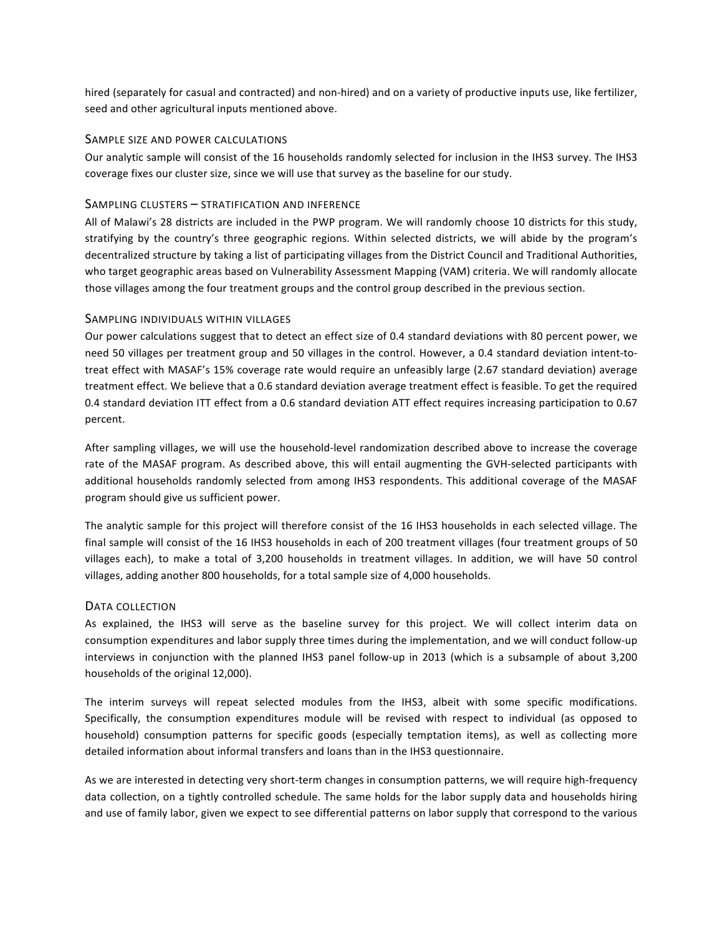hired (separately for casual and contracted) and non-hired) and on a variety of productive inputs use, like fertilizer, seed and other agricultural inputs mentioned above.

#### SAMPLE SIZE AND POWER CALCULATIONS

Our analytic sample will consist of the 16 households randomly selected for inclusion in the IHS3 survey. The IHS3 coverage fixes our cluster size, since we will use that survey as the baseline for our study.

### SAMPLING CLUSTERS - STRATIFICATION AND INFERENCE

All of Malawi's 28 districts are included in the PWP program. We will randomly choose 10 districts for this study, stratifying by the country's three geographic regions. Within selected districts, we will abide by the program's decentralized structure by taking a list of participating villages from the District Council and Traditional Authorities, who target geographic areas based on Vulnerability Assessment Mapping (VAM) criteria. We will randomly allocate those villages among the four treatment groups and the control group described in the previous section.

#### SAMPLING INDIVIDUALS WITHIN VILLAGES

Our power calculations suggest that to detect an effect size of 0.4 standard deviations with 80 percent power, we need 50 villages per treatment group and 50 villages in the control. However, a 0.4 standard deviation intent-totreat effect with MASAF's 15% coverage rate would require an unfeasibly large (2.67 standard deviation) average treatment effect. We believe that a 0.6 standard deviation average treatment effect is feasible. To get the required 0.4 standard deviation ITT effect from a 0.6 standard deviation ATT effect requires increasing participation to 0.67 percent. 

After sampling villages, we will use the household-level randomization described above to increase the coverage rate of the MASAF program. As described above, this will entail augmenting the GVH-selected participants with additional households randomly selected from among IHS3 respondents. This additional coverage of the MASAF program should give us sufficient power.

The analytic sample for this project will therefore consist of the 16 IHS3 households in each selected village. The final sample will consist of the 16 IHS3 households in each of 200 treatment villages (four treatment groups of 50 villages each), to make a total of 3,200 households in treatment villages. In addition, we will have 50 control villages, adding another 800 households, for a total sample size of 4,000 households.

#### DATA COLLECTION

As explained, the IHS3 will serve as the baseline survey for this project. We will collect interim data on consumption expenditures and labor supply three times during the implementation, and we will conduct follow-up interviews in conjunction with the planned IHS3 panel follow-up in 2013 (which is a subsample of about 3,200 households of the original 12,000).

The interim surveys will repeat selected modules from the IHS3, albeit with some specific modifications. Specifically, the consumption expenditures module will be revised with respect to individual (as opposed to household) consumption patterns for specific goods (especially temptation items), as well as collecting more detailed information about informal transfers and loans than in the IHS3 questionnaire.

As we are interested in detecting very short-term changes in consumption patterns, we will require high-frequency data collection, on a tightly controlled schedule. The same holds for the labor supply data and households hiring and use of family labor, given we expect to see differential patterns on labor supply that correspond to the various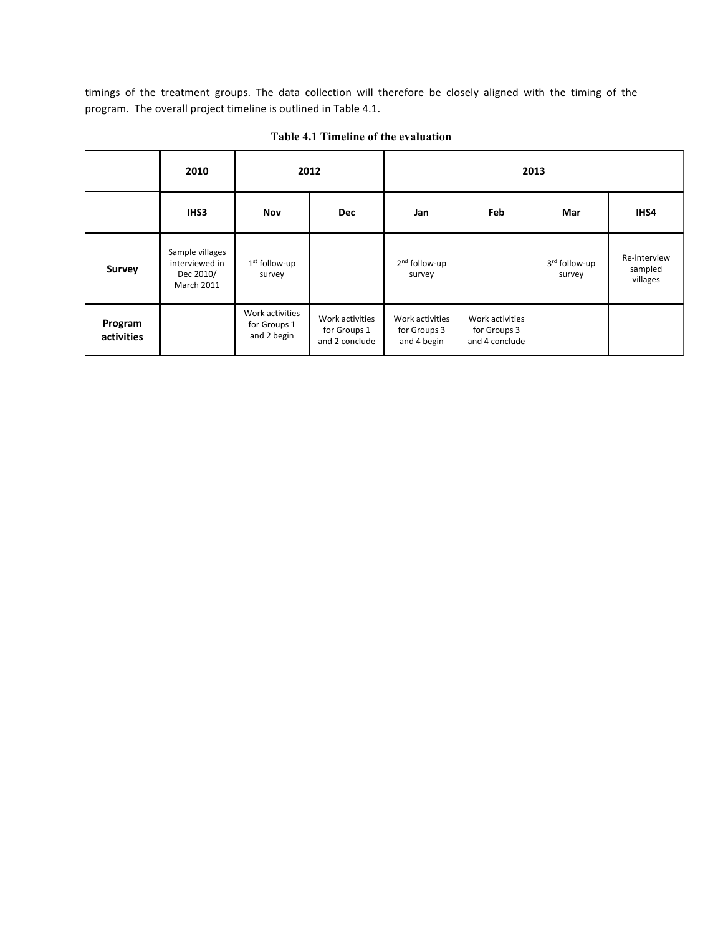timings of the treatment groups. The data collection will therefore be closely aligned with the timing of the program. The overall project timeline is outlined in Table 4.1.

|                       | 2010                                                         | 2012                                           |                                                   | 2013                                           |                                                   |                         |                                     |
|-----------------------|--------------------------------------------------------------|------------------------------------------------|---------------------------------------------------|------------------------------------------------|---------------------------------------------------|-------------------------|-------------------------------------|
|                       | IHS3                                                         | <b>Nov</b>                                     | <b>Dec</b>                                        | Jan                                            | Feb                                               | Mar                     | IHS4                                |
| <b>Survey</b>         | Sample villages<br>interviewed in<br>Dec 2010/<br>March 2011 | 1 <sup>st</sup> follow-up<br>survey            |                                                   | 2 <sup>nd</sup> follow-up<br>survey            |                                                   | 3rd follow-up<br>survey | Re-interview<br>sampled<br>villages |
| Program<br>activities |                                                              | Work activities<br>for Groups 1<br>and 2 begin | Work activities<br>for Groups 1<br>and 2 conclude | Work activities<br>for Groups 3<br>and 4 begin | Work activities<br>for Groups 3<br>and 4 conclude |                         |                                     |

**Table 4.1 Timeline of the evaluation**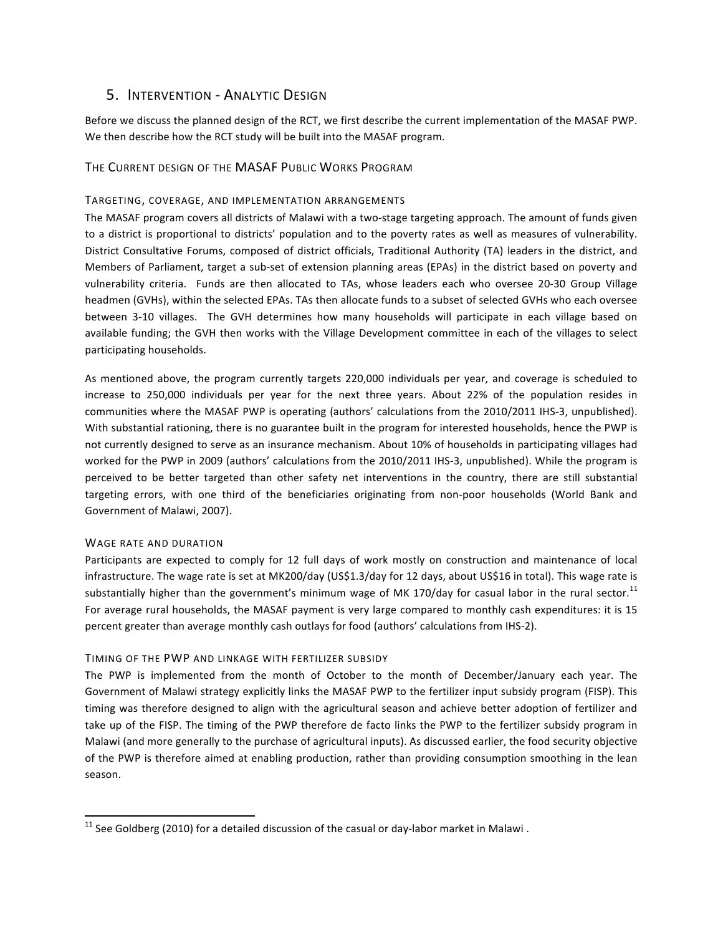# 5. INTERVENTION - ANALYTIC DESIGN

Before we discuss the planned design of the RCT, we first describe the current implementation of the MASAF PWP. We then describe how the RCT study will be built into the MASAF program.

## THE CURRENT DESIGN OF THE MASAF PUBLIC WORKS PROGRAM

### TARGETING, COVERAGE, AND IMPLEMENTATION ARRANGEMENTS

The MASAF program covers all districts of Malawi with a two-stage targeting approach. The amount of funds given to a district is proportional to districts' population and to the poverty rates as well as measures of vulnerability. District Consultative Forums, composed of district officials, Traditional Authority (TA) leaders in the district, and Members of Parliament, target a sub-set of extension planning areas (EPAs) in the district based on poverty and vulnerability criteria. Funds are then allocated to TAs, whose leaders each who oversee 20-30 Group Village headmen (GVHs), within the selected EPAs. TAs then allocate funds to a subset of selected GVHs who each oversee between 3-10 villages. The GVH determines how many households will participate in each village based on available funding; the GVH then works with the Village Development committee in each of the villages to select participating households.

As mentioned above, the program currently targets 220,000 individuals per year, and coverage is scheduled to increase to 250,000 individuals per year for the next three years. About 22% of the population resides in communities where the MASAF PWP is operating (authors' calculations from the 2010/2011 IHS-3, unpublished). With substantial rationing, there is no guarantee built in the program for interested households, hence the PWP is not currently designed to serve as an insurance mechanism. About 10% of households in participating villages had worked for the PWP in 2009 (authors' calculations from the 2010/2011 IHS-3, unpublished). While the program is perceived to be better targeted than other safety net interventions in the country, there are still substantial targeting errors, with one third of the beneficiaries originating from non-poor households (World Bank and Government of Malawi, 2007).

### WAGE RATE AND DURATION

Participants are expected to comply for 12 full days of work mostly on construction and maintenance of local infrastructure. The wage rate is set at MK200/day (US\$1.3/day for 12 days, about US\$16 in total). This wage rate is substantially higher than the government's minimum wage of MK 170/day for casual labor in the rural sector.<sup>11</sup> For average rural households, the MASAF payment is very large compared to monthly cash expenditures: it is 15 percent greater than average monthly cash outlays for food (authors' calculations from IHS-2).

### TIMING OF THE PWP AND LINKAGE WITH FERTILIZER SUBSIDY

The PWP is implemented from the month of October to the month of December/January each year. The Government of Malawi strategy explicitly links the MASAF PWP to the fertilizer input subsidy program (FISP). This timing was therefore designed to align with the agricultural season and achieve better adoption of fertilizer and take up of the FISP. The timing of the PWP therefore de facto links the PWP to the fertilizer subsidy program in Malawi (and more generally to the purchase of agricultural inputs). As discussed earlier, the food security objective of the PWP is therefore aimed at enabling production, rather than providing consumption smoothing in the lean season.

 $11$  See Goldberg (2010) for a detailed discussion of the casual or day-labor market in Malawi.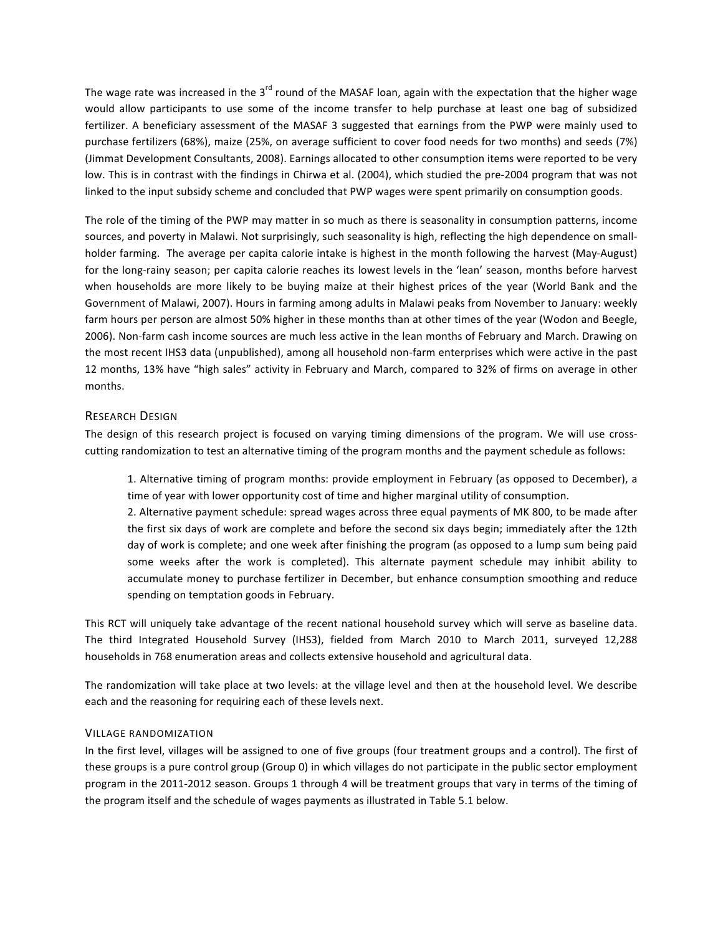The wage rate was increased in the  $3^{rd}$  round of the MASAF loan, again with the expectation that the higher wage would allow participants to use some of the income transfer to help purchase at least one bag of subsidized fertilizer. A beneficiary assessment of the MASAF 3 suggested that earnings from the PWP were mainly used to purchase fertilizers (68%), maize (25%, on average sufficient to cover food needs for two months) and seeds (7%) (Jimmat Development Consultants, 2008). Earnings allocated to other consumption items were reported to be very low. This is in contrast with the findings in Chirwa et al. (2004), which studied the pre-2004 program that was not linked to the input subsidy scheme and concluded that PWP wages were spent primarily on consumption goods.

The role of the timing of the PWP may matter in so much as there is seasonality in consumption patterns, income sources, and poverty in Malawi. Not surprisingly, such seasonality is high, reflecting the high dependence on smallholder farming. The average per capita calorie intake is highest in the month following the harvest (May-August) for the long-rainy season; per capita calorie reaches its lowest levels in the 'lean' season, months before harvest when households are more likely to be buying maize at their highest prices of the year (World Bank and the Government of Malawi, 2007). Hours in farming among adults in Malawi peaks from November to January: weekly farm hours per person are almost 50% higher in these months than at other times of the year (Wodon and Beegle, 2006). Non-farm cash income sources are much less active in the lean months of February and March. Drawing on the most recent IHS3 data (unpublished), among all household non-farm enterprises which were active in the past 12 months, 13% have "high sales" activity in February and March, compared to 32% of firms on average in other months.

# **RESEARCH DESIGN**

The design of this research project is focused on varying timing dimensions of the program. We will use crosscutting randomization to test an alternative timing of the program months and the payment schedule as follows:

1. Alternative timing of program months: provide employment in February (as opposed to December), a time of year with lower opportunity cost of time and higher marginal utility of consumption.

2. Alternative payment schedule: spread wages across three equal payments of MK 800, to be made after the first six days of work are complete and before the second six days begin; immediately after the 12th day of work is complete; and one week after finishing the program (as opposed to a lump sum being paid some weeks after the work is completed). This alternate payment schedule may inhibit ability to accumulate money to purchase fertilizer in December, but enhance consumption smoothing and reduce spending on temptation goods in February.

This RCT will uniquely take advantage of the recent national household survey which will serve as baseline data. The third Integrated Household Survey (IHS3), fielded from March 2010 to March 2011, surveyed 12,288 households in 768 enumeration areas and collects extensive household and agricultural data.

The randomization will take place at two levels: at the village level and then at the household level. We describe each and the reasoning for requiring each of these levels next.

### VILLAGE RANDOMIZATION

In the first level, villages will be assigned to one of five groups (four treatment groups and a control). The first of these groups is a pure control group (Group 0) in which villages do not participate in the public sector employment program in the 2011-2012 season. Groups 1 through 4 will be treatment groups that vary in terms of the timing of the program itself and the schedule of wages payments as illustrated in Table 5.1 below.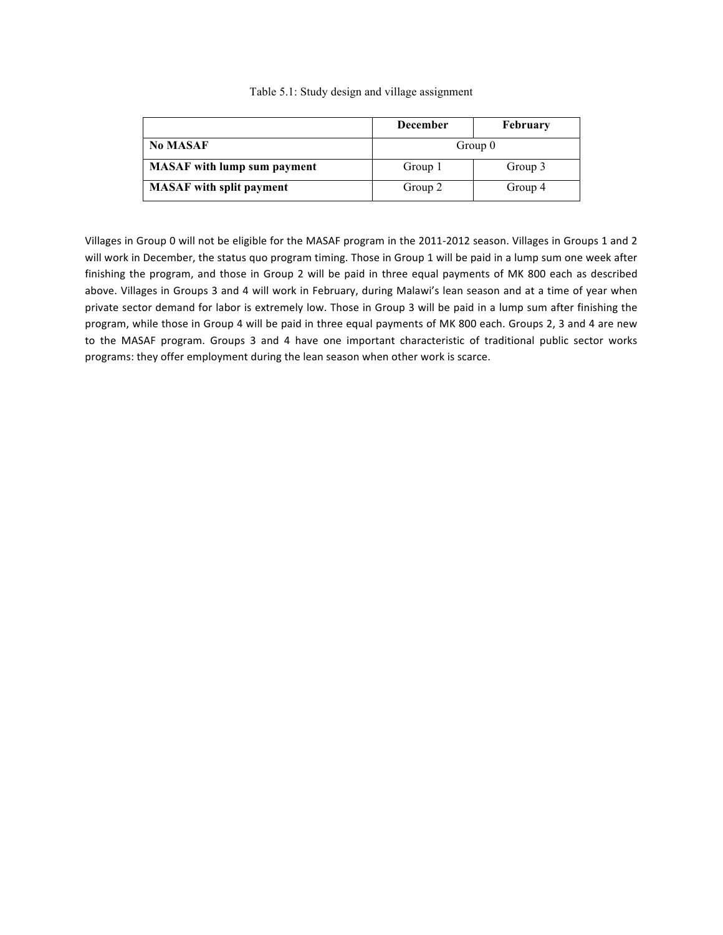|                                    | <b>December</b> | <b>February</b> |  |
|------------------------------------|-----------------|-----------------|--|
| <b>No MASAF</b>                    | Group 0         |                 |  |
| <b>MASAF</b> with lump sum payment | Group 1         | Group 3         |  |
| <b>MASAF</b> with split payment    | Group 2         | Group 4         |  |

### Table 5.1: Study design and village assignment

Villages in Group 0 will not be eligible for the MASAF program in the 2011-2012 season. Villages in Groups 1 and 2 will work in December, the status quo program timing. Those in Group 1 will be paid in a lump sum one week after finishing the program, and those in Group 2 will be paid in three equal payments of MK 800 each as described above. Villages in Groups 3 and 4 will work in February, during Malawi's lean season and at a time of year when private sector demand for labor is extremely low. Those in Group 3 will be paid in a lump sum after finishing the program, while those in Group 4 will be paid in three equal payments of MK 800 each. Groups 2, 3 and 4 are new to the MASAF program. Groups 3 and 4 have one important characteristic of traditional public sector works programs: they offer employment during the lean season when other work is scarce.